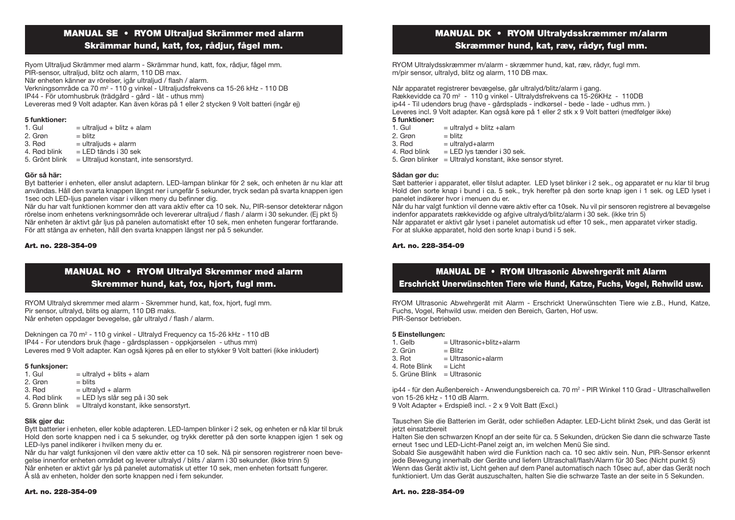# MANUAL SE • RYOM Ultraljud Skrämmer med alarm

### Skrämmar hund, katt, fox, rådjur, fågel mm.

Ryom Ultraljud Skrämmer med alarm - Skrämmar hund, katt, fox, rådjur, fågel mm. PIR-sensor, ultraljud, blitz och alarm, 110 DB max. När enheten känner av rörelser, joår ultraljud / flash / alarm. Verkningsområde ca 70 m² - 110 g vinkel - Ultraljudsfrekvens ca 15-26 kHz - 110 DB IP44 - För utomhusbruk (trädgård - gård - låt - uthus mm) Levereras med 9 Volt adapter. Kan även köras på 1 eller 2 stycken 9 Volt batteri (ingår ej)

#### 5 funktioner:

| $=$ ultraliud + blitz + alam            |
|-----------------------------------------|
| $=$ blitz                               |
| $=$ ultraljuds + alarm                  |
| $=$ LED tänds i 30 sek                  |
| = Ultraljud konstant, inte sensorstyrd. |
|                                         |

#### Gör så här:

Byt batterier i enheten, eller anslut adaptern. LED-lampan blinkar för 2 sek, och enheten är nu klar att användas. Håll den svarta knappen längst ner i ungefär 5 sekunder, tryck sedan på svarta knappen igen 1sec och LED-ljus panelen visar i vilken meny du befinner dig.

När du har valt funktionen kommer den att vara aktiv efter ca 10 sek. Nu, PIR-sensor detekterar någon rörelse inom enhetens verkningsområde och levererar ultraljud / flash / alarm i 30 sekunder. (Ej pkt 5) När enheten är aktivt går ljus på panelen automatiskt efter 10 sek, men enheten fungerar fortfarande. För att stänga av enheten, håll den svarta knappen längst ner på 5 sekunder.

#### Art. no. 228-354-09

## MANUAL NO • RYOM Ultralyd Skremmer med alarm Skremmer hund, kat, fox, hjort, fugl mm.

RYOM Ultralyd skremmer med alarm - Skremmer hund, kat, fox, hjort, fugl mm. Pir sensor, ultralyd, blits og alarm, 110 DB maks. Når enheten oppdager bevegelse, går ultralyd / flash / alarm.

Dekningen ca 70 m<sup>2</sup> - 110 g vinkel - Ultralyd Frequency ca 15-26 kHz - 110 dB IP44 - For utendørs bruk (hage - gårdsplassen - oppkjørselen - uthus mm) Leveres med 9 Volt adapter. Kan også kjøres på en eller to stykker 9 Volt batteri (ikke inkludert)

## 5 funksjoner:<br>1 Gul

- $=$  ultralyd + blits + alam<br> $=$  blits
- 2. Grøn<br>3. Bød
- 3. Rød  $=$  ultralyd + alarm<br>4. Rød blink  $=$  LED lys slår seg
- = LED lys slår seg på i 30 sek
- 5. Grønn blink = Ultralyd konstant, ikke sensorstyrt.

#### Slik gjør du:

Bytt batterier i enheten, eller koble adapteren. LED-lampen blinker i 2 sek, og enheten er nå klar til bruk Hold den sorte knappen ned i ca 5 sekunder, og trykk deretter på den sorte knappen igjen 1 sek og LED-lys panel indikerer i hvilken meny du er.

Når du har valgt funksjonen vil den være aktiv etter ca 10 sek. Nå pir sensoren registrerer noen bevegelse innenfor enheten området og leverer ultralyd / blits / alarm i 30 sekunder. (Ikke trinn 5) Når enheten er aktivt går lys på panelet automatisk ut etter 10 sek, men enheten fortsatt fungerer.

Å slå av enheten, holder den sorte knappen ned i fem sekunder.

#### Art. no. 228-354-09

### MANUAL DK • RYOM Ultralydsskræmmer m/alarm Skræmmer hund, kat, ræv, rådyr, fugl mm.

RYOM Ultralydsskræmmer m/alarm - skræmmer hund, kat, ræv, rådyr, fugl mm. m/pir sensor, ultralyd, blitz og alarm, 110 DB max.

Når apparatet registrerer bevægelse, går ultralyd/blitz/alarm i gang.

Rækkevidde ca 70 m² - 110 g vinkel - Ultralydsfrekvens ca 15-26KHz - 110DB ip44 - Til udendørs brug (have - gårdsplads - indkørsel - bede - lade - udhus mm. ) Leveres incl. 9 Volt adapter. Kan også køre på 1 eller 2 stk x 9 Volt batteri (medfølger ikke) 5 funktioner:<br>1. Gul

 $=$  ultralyd + blitz +alam<br>= blitz

- 2. Grøn<br>3. Rød
- $=$  ultralyd+alarm
- 4. Rød blink  $=$  LED lys tænder i 30 sek.
- 5. Grøn blinker = Ultralyd konstant, ikke sensor styret.

#### Sådan gør du:

Sæt batterier i apparatet, eller tilslut adapter. LED lyset blinker i 2 sek., og apparatet er nu klar til brug Hold den sorte knap i bund i ca. 5 sek., tryk herefter på den sorte knap igen i 1 sek. og LED lyset i panelet indikerer hvor i menuen du er.

Når du har valgt funktion vil denne være aktiv efter ca 10sek. Nu vil pir sensoren registrere al bevægelse indenfor apparatets rækkevidde og afgive ultralyd/blitz/alarm i 30 sek. (ikke trin 5)

Når apparatet er aktivt går lyset i panelet automatisk ud efter 10 sek., men apparatet virker stadig. For at slukke apparatet, hold den sorte knap i bund i 5 sek.

#### Art. no. 228-354-09

## MANUAL DE • RYOM Ultrasonic Abwehrgerät mit Alarm Erschrickt Unerwünschten Tiere wie Hund, Katze, Fuchs, Vogel, Rehwild usw.

RYOM Ultrasonic Abwehrgerät mit Alarm - Erschrickt Unerwünschten Tiere wie z.B., Hund, Katze, Fuchs, Vogel, Rehwild usw. meiden den Bereich, Garten, Hof usw. PIR-Sensor betrieben.

## 5 Einstellungen:<br>1. Gelb

= Ultrasonic+blitz+alarm<br>- Blitz 2. Grün<br>3. Bot  $=$  Ultrasonic+alarm 4. Rote Blink  $=$  Licht

5. Grüne Blink = Ultrasonic

ip44 - für den Außenbereich - Anwendungsbereich ca. 70 m<sup>2</sup> - PIR Winkel 110 Grad - Ultraschallwellen von 15-26 kHz - 110 dB Alarm.

9 Volt Adapter + Erdspieß incl. - 2 x 9 Volt Batt (Excl.)

Tauschen Sie die Batterien im Gerät, oder schließen Adapter. LED-Licht blinkt 2sek, und das Gerät ist jetzt einsatzbereit

Halten Sie den schwarzen Knopf an der seite für ca. 5 Sekunden, drücken Sie dann die schwarze Taste erneut 1sec und LED-Licht-Panel zeigt an, im welchen Menü Sie sind.

Sobald Sie ausgewählt haben wird die Funktion nach ca. 10 sec aktiv sein. Nun, PIR-Sensor erkennt jede Bewegung innerhalb der Geräte und liefern Ultraschall/lash/Alarm für 30 Sec (Nicht punkt 5) Wenn das Gerät aktiv ist, Licht gehen auf dem Panel automatisch nach 10sec auf, aber das Gerät noch funktioniert. Um das Gerät auszuschalten, halten Sie die schwarze Taste an der seite in 5 Sekunden.